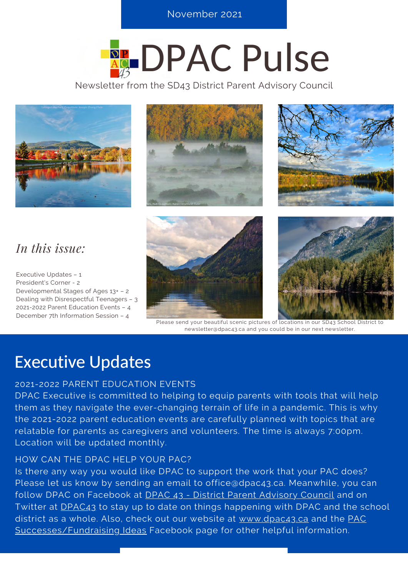**S E R E R E R E NOVEMBER 2021** 

# **REDPAC Pulse**

Newsletter from the SD43 District Parent Advisory Council



### *In this issue:*

Executive Updates – 1 President's Corner - 2 Developmental Stages of Ages 13+ – 2 Dealing with Disrespectful Teenagers – 3 2021-2022 Parent Education Events – 4 December 7th Information Session – 4





Please send your beautiful scenic pictures of locations in our SD43 School District to newsletter@dpac43.ca and you could be in our next newsletter.

### Executive Updates

#### 2021-2022 PARENT EDUCATION EVENTS

DPAC Executive is committed to helping to equip parents with tools that will help them as they navigate the ever-changing terrain of life in a pandemic. This is why the 2021-2022 parent education events are carefully planned with topics that are relatable for parents as caregivers and volunteers. The time is always 7:00pm. Location will be updated monthly.

#### HOW CAN THE DPAC HELP YOUR PAC?

Is there any way you would like DPAC to support the work that your PAC does? Please let us know by sending an email to office@dpac43.ca. Meanwhile, you can follow DPAC on Facebook at [DPAC 43 - District Parent Advisory Council](https://www.facebook.com/DPAC43/) and on Twitter at **DPAC43** to stay up to date on things happening with DPAC and the school [district as a whole. Also, check out our website at](https://www.facebook.com/groups/338098147962556/?multi_permalinks=413281563777547%2C412298293875874¬if_id=1637615774671382¬if_t=group_activity&ref=notif) [www.dpac43.ca](https://dpac43.ca/) [and the PAC](https://www.facebook.com/groups/338098147962556/?multi_permalinks=413281563777547%2C412298293875874¬if_id=1637615774671382¬if_t=group_activity&ref=notif) Successes/Fundraising Ideas Facebook page for other helpful information.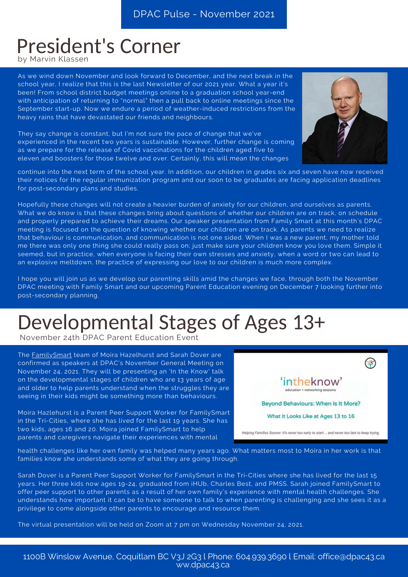### President's Corner

by Marvin Klassen

As we wind down November and look forward to December, and the next break in the school year, I realize that this is the last Newsletter of our 2021 year. What a year it's been! From school district budget meetings online to a graduation school year-end with anticipation of returning to "normal" then a pull back to online meetings since the September start-up. Now we endure a period of weather-induced restrictions from the heavy rains that have devastated our friends and neighbours.

They say change is constant, but I'm not sure the pace of change that we've experienced in the recent two years is sustainable. However, further change is coming as we prepare for the release of Covid vaccinations for the children aged five to eleven and boosters for those twelve and over. Certainly, this will mean the changes



continue into the next term of the school year. In addition, our children in grades six and seven have now received their notices for the regular immunization program and our soon to be graduates are facing application deadlines for post-secondary plans and studies.

Hopefully these changes will not create a heavier burden of anxiety for our children, and ourselves as parents. What we do know is that these changes bring about questions of whether our children are on track, on schedule and properly prepared to achieve their dreams. Our speaker presentation from Family Smart at this month's DPAC meeting is focused on the question of knowing whether our children are on track. As parents we need to realize that behaviour is communication, and communication is not one sided. When I was a new parent, my mother told me there was only one thing she could really pass on; just make sure your children know you love them. Simple it seemed, but in practice, when everyone is facing their own stresses and anxiety, when a word or two can lead to an explosive meltdown, the practice of expressing our love to our children is much more complex.

I hope you will join us as we develop our parenting skills amid the changes we face, through both the November DPAC meeting with Family Smart and our upcoming Parent Education evening on December 7 looking further into post-secondary planning.

## Developmental Stages of Ages 13+

November 24th DPAC Parent Education Event

The [FamilySmart](https://familysmart.ca/) team of Moira Hazelhurst and Sarah Dover are confirmed as speakers at DPAC's November General Meeting on November 24, 2021. They will be presenting an 'In the Know' talk on the developmental stages of children who are 13 years of age and older to help parents understand when the struggles they are seeing in their kids might be something more than behaviours.

[Moira Hazlehurst is a Parent Peer Support Worker for FamilySmart](https://familysmart.ca/) in the Tri-Cities, where she has lived for the last 19 years. She has two kids, ages 16 and 20. Moira joined FamilySmart to help parents and caregivers navigate their experiences with mental



health challenges like her own family was helped many years ago. What matters most to Moira in her work is that families know she understands some of what they are going through.

Sarah Dover is a Parent Peer Support Worker for FamilySmart in the Tri-Cities where she has lived for the last 15 years. Her three kids now ages 19-24, graduated from iHUb, Charles Best, and PMSS. Sarah joined FamilySmart to offer peer support to other parents as a result of her own family's experience with mental health challenges. She [understands how important it can be to have someone to talk to when parenting is challenging and she sees it as a](https://familysmart.ca/) privilege to come alongside other parents to encourage and resource them.

The virtual presentation will be held on Zoom at 7 pm on Wednesday November 24, 2021.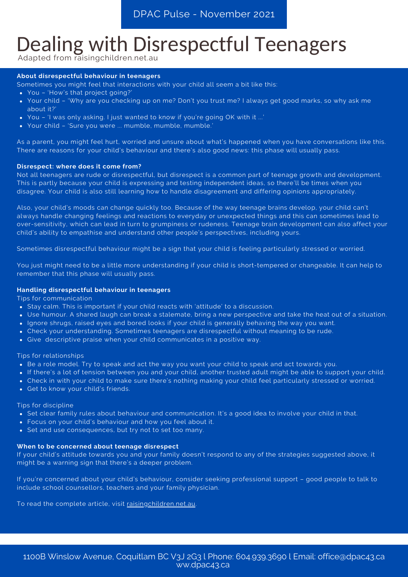### Dealing with Disrespectful Teenagers

Adapted from raisingchildren.net.au

#### **About disrespectful behaviour in teenagers**

Sometimes you might feel that interactions with your child all seem a bit like this:

- You 'How's that project going?'
- Your child 'Why are you checking up on me? Don't you trust me? I always get good marks, so why ask me about it?'
- You 'I was only asking. I just wanted to know if you're going OK with it ...'
- Your child 'Sure you were ... mumble, mumble, mumble.'

As a parent, you might feel hurt, worried and unsure about what's happened when you have conversations like this. There are reasons for your child's behaviour and there's also good news: this phase will usually pass.

#### **Disrespect: where does it come from?**

Not all teenagers are rude or disrespectful, but disrespect is a common part of teenage growth and development. This is partly because your child is expressing and testing independent ideas, so there'll be times when you disagree. Your child is also still learning how to handle disagreement and differing opinions appropriately.

Also, your child's moods can change quickly too. Because of [the way teenage brains develop,](https://raisingchildren.net.au/pre-teens/development/understanding-your-pre-teen/brain-development-teens) your child can't always handle changing feelings and reactions to everyday or unexpected things and this can sometimes lead to over-sensitivity, which can lead in turn to grumpiness or rudeness. Teenage brain development can also affect your child's ability to empathise and understand other people's perspectives, including yours.

Sometimes disrespectful behaviour might be a sign that your child is feeling particularly stressed or worried.

You just might need to be a little more understanding if your child is short-tempered or changeable. It can help to remember that this phase will usually pass.

#### **Handling disrespectful behaviour in teenagers**

Tips for communication

- Stay calm. This is important if your child reacts with 'attitude' to a discussion.
- Use humour. A shared laugh can break a stalemate, bring a new perspective and take the heat out of a situation.
- Ignore shrugs, raised eyes and bored looks if your child is generally behaving the way you want.
- Check your understanding. Sometimes teenagers are disrespectful without meaning to be rude.
- Give [descriptive praise](https://raisingchildren.net.au/pre-teens/behaviour/encouraging-good-behaviour/praise-in-action) when your child communicates in a positive way.

Tips for relationships

- Be a [role model.](https://raisingchildren.net.au/pre-teens/behaviour/encouraging-good-behaviour/being-a-role-model) Try to speak and act the way you want your child to speak and act towards you.
- If there's a lot of tension between you and your child, another trusted adult might be able to support your child.
- Check in with your child to make sure there's nothing making your child feel particularly stressed or worried.
- [Get to know your child's friends.](https://raisingchildren.net.au/pre-teens/behaviour/peers-friends-trends/teen-friendships)

Tips for discipline

- Set [clear family rules](https://raisingchildren.net.au/pre-teens/behaviour/behaviour-management-ideas/family-rules) about behaviour and communication. It's a good idea to involve your child in that.
- Focus on your child's behaviour and how you feel about it.
- Set and use consequences, but try not to set too many.

#### **When to be concerned about teenage disrespect**

If your child's attitude towards you and your family doesn't respond to any of the strategies suggested above, it might be a warning sign that there's a deeper problem.

[If you're concerned about your child's behaviour, consider seeking professional support – good people to talk to](https://raisingchildren.net.au/grown-ups/looking-after-yourself/parenting/parenting-teenagers) include school counsellors, teachers and your family physician.

To read the complete article, visit [raisingchildren.net.au.](https://raisingchildren.net.au/pre-teens/behaviour/behaviour-questions-issues/disrespectful-behaviour)